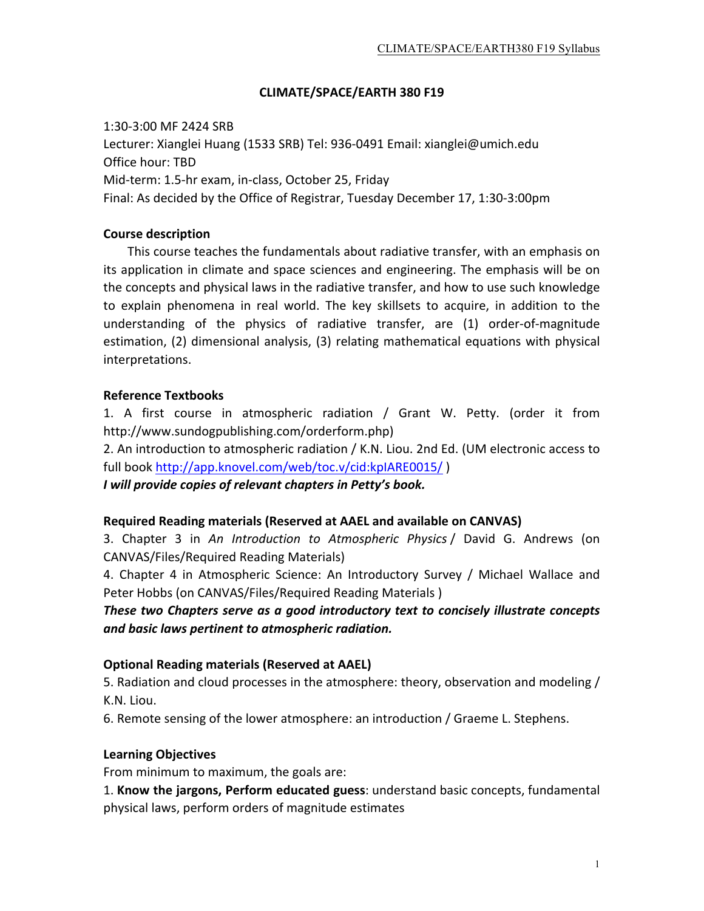### **CLIMATE/SPACE/EARTH 380 F19**

1:30-3:00 MF 2424 SRB Lecturer: Xianglei Huang (1533 SRB) Tel: 936-0491 Email: xianglei@umich.edu Office hour: TBD Mid-term: 1.5-hr exam, in-class, October 25, Friday Final: As decided by the Office of Registrar, Tuesday December 17, 1:30-3:00pm

#### **Course description**

This course teaches the fundamentals about radiative transfer, with an emphasis on its application in climate and space sciences and engineering. The emphasis will be on the concepts and physical laws in the radiative transfer, and how to use such knowledge to explain phenomena in real world. The key skillsets to acquire, in addition to the understanding of the physics of radiative transfer, are  $(1)$  order-of-magnitude estimation, (2) dimensional analysis, (3) relating mathematical equations with physical interpretations. 

### **Reference Textbooks**

1. A first course in atmospheric radiation / Grant W. Petty. (order it from http://www.sundogpublishing.com/orderform.php) 

2. An introduction to atmospheric radiation / K.N. Liou. 2nd Ed. (UM electronic access to full book http://app.knovel.com/web/toc.v/cid:kpIARE0015/

*I will provide copies of relevant chapters in Petty's book.* 

#### **Required Reading materials (Reserved at AAEL and available on CANVAS)**

3. Chapter 3 in An Introduction to Atmospheric Physics / David G. Andrews (on CANVAS/Files/Required Reading Materials) 

4. Chapter 4 in Atmospheric Science: An Introductory Survey / Michael Wallace and Peter Hobbs (on CANVAS/Files/Required Reading Materials)

*These two Chapters serve as a good introductory text to concisely illustrate concepts* and basic laws pertinent to atmospheric radiation.

#### **Optional Reading materials (Reserved at AAEL)**

5. Radiation and cloud processes in the atmosphere: theory, observation and modeling / K.N. Liou.

6. Remote sensing of the lower atmosphere: an introduction / Graeme L. Stephens.

#### **Learning Objectives**

From minimum to maximum, the goals are:

1. Know the jargons, Perform educated guess: understand basic concepts, fundamental physical laws, perform orders of magnitude estimates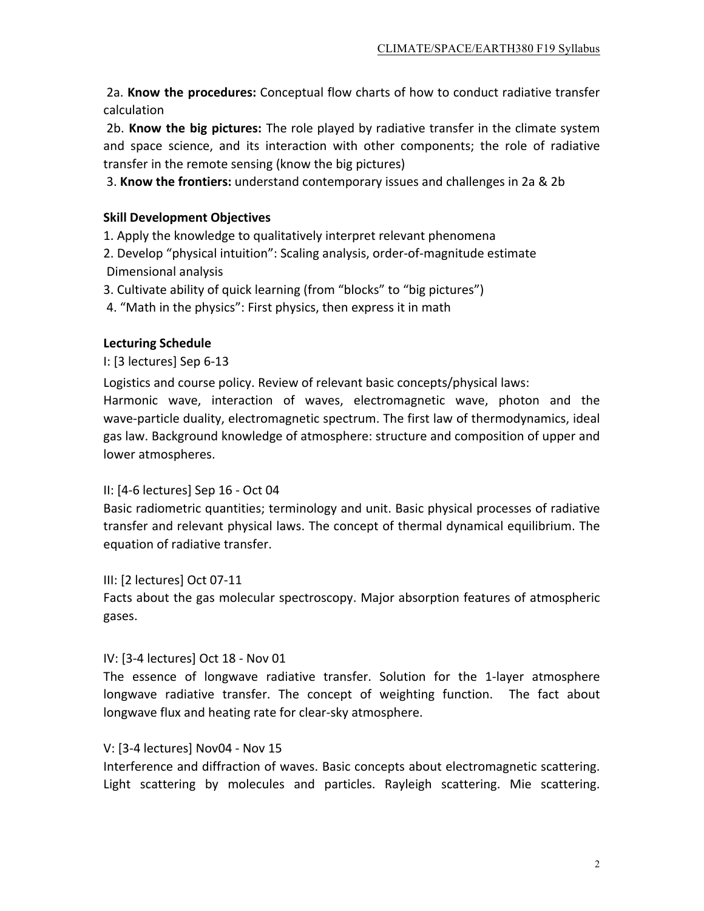2a. **Know the procedures:** Conceptual flow charts of how to conduct radiative transfer calculation 

2b. **Know the big pictures:** The role played by radiative transfer in the climate system and space science, and its interaction with other components; the role of radiative transfer in the remote sensing (know the big pictures)

3. **Know the frontiers:** understand contemporary issues and challenges in 2a & 2b

# **Skill Development Objectives**

1. Apply the knowledge to qualitatively interpret relevant phenomena

2. Develop "physical intuition": Scaling analysis, order-of-magnitude estimate Dimensional analysis

3. Cultivate ability of quick learning (from "blocks" to "big pictures")

4. "Math in the physics": First physics, then express it in math

## **Lecturing Schedule**

I: [3 lectures] Sep 6-13

Logistics and course policy. Review of relevant basic concepts/physical laws:

Harmonic wave, interaction of waves, electromagnetic wave, photon and the wave-particle duality, electromagnetic spectrum. The first law of thermodynamics, ideal gas law. Background knowledge of atmosphere: structure and composition of upper and lower atmospheres.

## II: [4-6 lectures] Sep 16 - Oct 04

Basic radiometric quantities; terminology and unit. Basic physical processes of radiative transfer and relevant physical laws. The concept of thermal dynamical equilibrium. The equation of radiative transfer.

III: [2 lectures] Oct 07-11

Facts about the gas molecular spectroscopy. Major absorption features of atmospheric gases. 

## IV: [3-4 lectures] Oct 18 - Nov 01

The essence of longwave radiative transfer. Solution for the 1-layer atmosphere longwave radiative transfer. The concept of weighting function. The fact about longwave flux and heating rate for clear-sky atmosphere.

## V: [3-4 lectures] Nov04 - Nov 15

Interference and diffraction of waves. Basic concepts about electromagnetic scattering. Light scattering by molecules and particles. Rayleigh scattering. Mie scattering.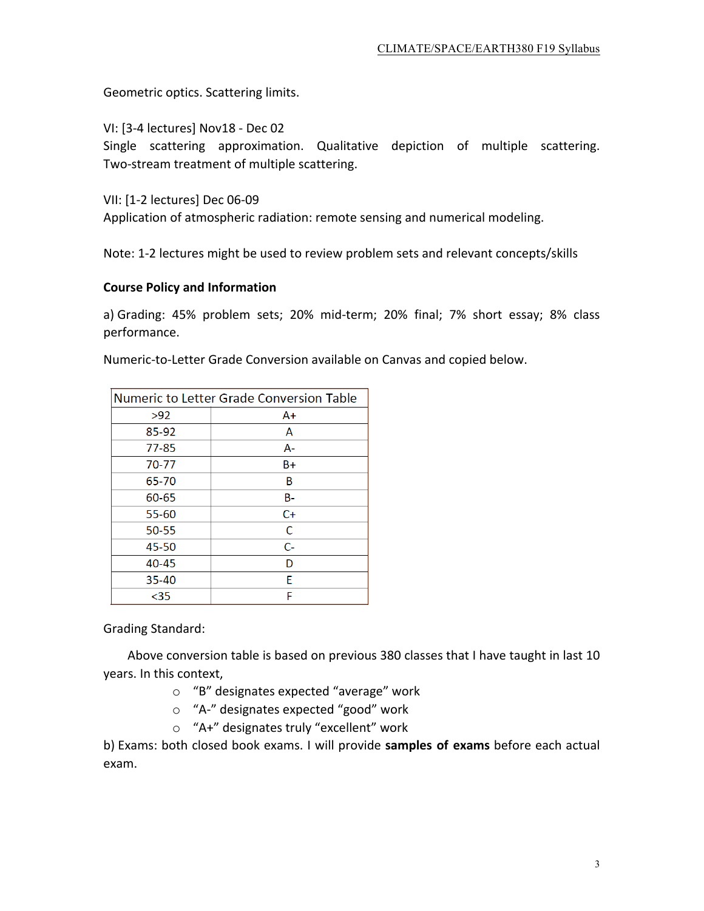Geometric optics. Scattering limits.

VI: [3-4 lectures] Nov18 - Dec 02

Single scattering approximation. Qualitative depiction of multiple scattering. Two-stream treatment of multiple scattering.

VII: [1-2 lectures] Dec 06-09

Application of atmospheric radiation: remote sensing and numerical modeling.

Note: 1-2 lectures might be used to review problem sets and relevant concepts/skills

### **Course Policy and Information**

a) Grading: 45% problem sets; 20% mid-term; 20% final; 7% short essay; 8% class performance. 

Numeric-to-Letter Grade Conversion available on Canvas and copied below.

| Numeric to Letter Grade Conversion Table |       |
|------------------------------------------|-------|
| >92                                      | $A+$  |
| 85-92                                    | Α     |
| $77 - 85$                                | $A-$  |
| 70-77                                    | $B+$  |
| 65-70                                    | B     |
| 60-65                                    | B-    |
| 55-60                                    | $C+$  |
| 50-55                                    | C     |
| 45-50                                    | $C -$ |
| 40-45                                    | D     |
| $35 - 40$                                | F     |
| $35$                                     | F     |

Grading Standard:

Above conversion table is based on previous 380 classes that I have taught in last 10 years. In this context,

- $\circ$  "B" designates expected "average" work
- o "A-" designates expected "good" work
- o "A+" designates truly "excellent" work

b) Exams: both closed book exams. I will provide **samples of exams** before each actual exam.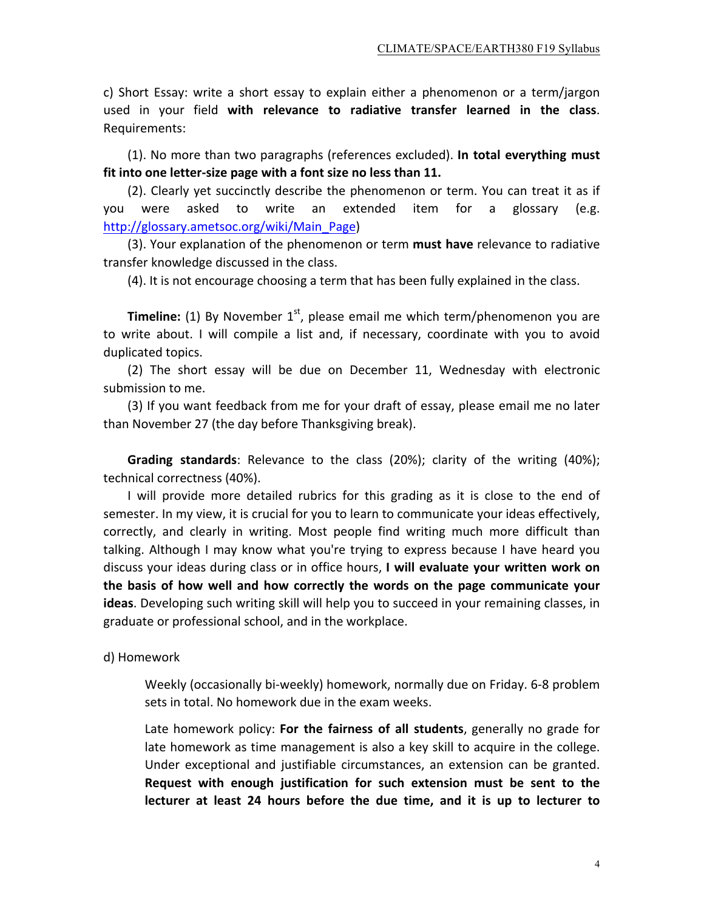c) Short Essay: write a short essay to explain either a phenomenon or a term/jargon used in your field with relevance to radiative transfer learned in the class. Requirements: 

(1). No more than two paragraphs (references excluded). In total everything must fit into one letter-size page with a font size no less than 11.

(2). Clearly yet succinctly describe the phenomenon or term. You can treat it as if you were asked to write an extended item for a glossary (e.g. http://glossary.ametsoc.org/wiki/Main\_Page) 

(3). Your explanation of the phenomenon or term must have relevance to radiative transfer knowledge discussed in the class.

(4). It is not encourage choosing a term that has been fully explained in the class.

**Timeline:** (1) By November  $1<sup>st</sup>$ , please email me which term/phenomenon you are to write about. I will compile a list and, if necessary, coordinate with you to avoid duplicated topics.

(2) The short essay will be due on December 11, Wednesday with electronic submission to me.

(3) If you want feedback from me for your draft of essay, please email me no later than November 27 (the day before Thanksgiving break).

**Grading standards**: Relevance to the class (20%); clarity of the writing (40%); technical correctness (40%).

I will provide more detailed rubrics for this grading as it is close to the end of semester. In my view, it is crucial for you to learn to communicate your ideas effectively, correctly, and clearly in writing. Most people find writing much more difficult than talking. Although I may know what you're trying to express because I have heard you discuss your ideas during class or in office hours, I will evaluate your written work on the basis of how well and how correctly the words on the page communicate your ideas. Developing such writing skill will help you to succeed in your remaining classes, in graduate or professional school, and in the workplace.

d) Homework

Weekly (occasionally bi-weekly) homework, normally due on Friday. 6-8 problem sets in total. No homework due in the exam weeks.

Late homework policy: For the fairness of all students, generally no grade for late homework as time management is also a key skill to acquire in the college. Under exceptional and justifiable circumstances, an extension can be granted. Request with enough justification for such extension must be sent to the lecturer at least 24 hours before the due time, and it is up to lecturer to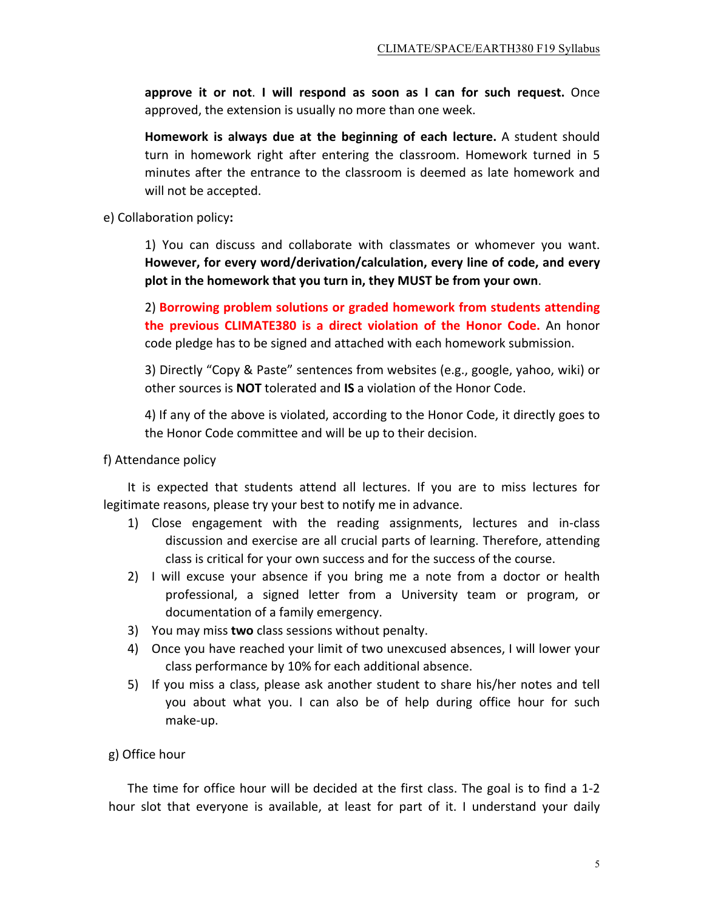**approve it or not. I will respond as soon as I can for such request.** Once approved, the extension is usually no more than one week.

**Homework** is always due at the beginning of each lecture. A student should turn in homework right after entering the classroom. Homework turned in 5 minutes after the entrance to the classroom is deemed as late homework and will not be accepted.

e) Collaboration policy**:** 

1) You can discuss and collaborate with classmates or whomever you want. However, for every word/derivation/calculation, every line of code, and every plot in the homework that you turn in, they MUST be from your own.

2) Borrowing problem solutions or graded homework from students attending **the previous CLIMATE380** is a direct violation of the Honor Code. An honor code pledge has to be signed and attached with each homework submission.

3) Directly "Copy & Paste" sentences from websites (e.g., google, yahoo, wiki) or other sources is **NOT** tolerated and **IS** a violation of the Honor Code.

4) If any of the above is violated, according to the Honor Code, it directly goes to the Honor Code committee and will be up to their decision.

#### f) Attendance policy

It is expected that students attend all lectures. If you are to miss lectures for legitimate reasons, please try your best to notify me in advance.

- 1) Close engagement with the reading assignments, lectures and in-class discussion and exercise are all crucial parts of learning. Therefore, attending class is critical for your own success and for the success of the course.
- 2) I will excuse your absence if you bring me a note from a doctor or health professional, a signed letter from a University team or program, or documentation of a family emergency.
- 3) You may miss **two** class sessions without penalty.
- 4) Once you have reached your limit of two unexcused absences, I will lower your class performance by 10% for each additional absence.
- 5) If you miss a class, please ask another student to share his/her notes and tell you about what you. I can also be of help during office hour for such make-up.

## g) Office hour

The time for office hour will be decided at the first class. The goal is to find a 1-2 hour slot that everyone is available, at least for part of it. I understand your daily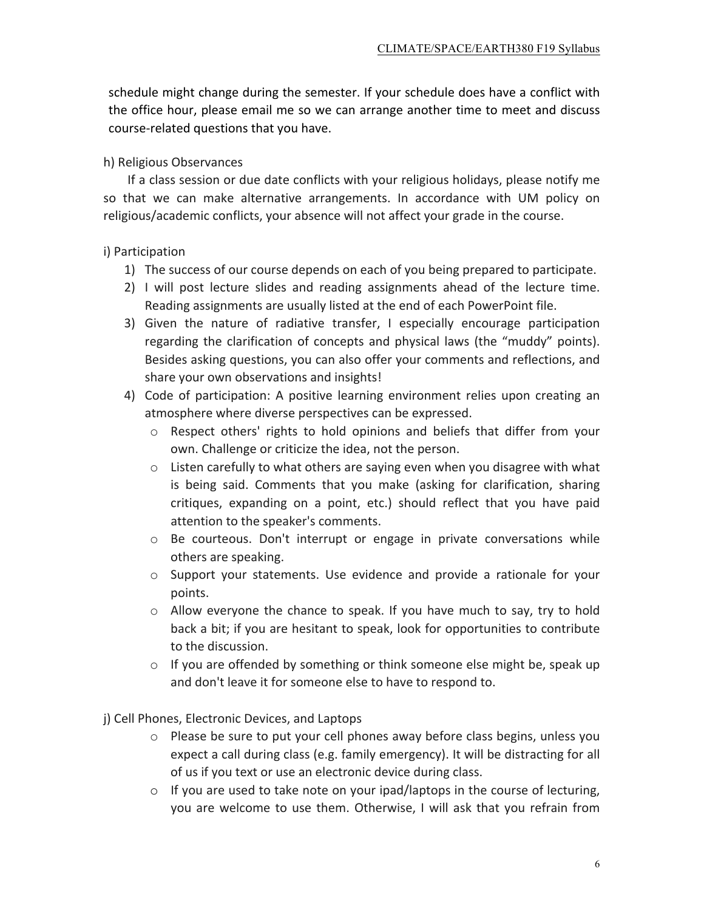schedule might change during the semester. If your schedule does have a conflict with the office hour, please email me so we can arrange another time to meet and discuss course-related questions that you have.

h) Religious Observances

If a class session or due date conflicts with your religious holidays, please notify me so that we can make alternative arrangements. In accordance with UM policy on religious/academic conflicts, your absence will not affect your grade in the course.

i) Participation

- 1) The success of our course depends on each of you being prepared to participate.
- 2) I will post lecture slides and reading assignments ahead of the lecture time. Reading assignments are usually listed at the end of each PowerPoint file.
- 3) Given the nature of radiative transfer, I especially encourage participation regarding the clarification of concepts and physical laws (the "muddy" points). Besides asking questions, you can also offer your comments and reflections, and share your own observations and insights!
- 4) Code of participation: A positive learning environment relies upon creating an atmosphere where diverse perspectives can be expressed.
	- $\circ$  Respect others' rights to hold opinions and beliefs that differ from your own. Challenge or criticize the idea, not the person.
	- $\circ$  Listen carefully to what others are saying even when you disagree with what is being said. Comments that you make (asking for clarification, sharing critiques, expanding on a point, etc.) should reflect that you have paid attention to the speaker's comments.
	- $\circ$  Be courteous. Don't interrupt or engage in private conversations while others are speaking.
	- $\circ$  Support your statements. Use evidence and provide a rationale for your points.
	- $\circ$  Allow everyone the chance to speak. If you have much to say, try to hold back a bit; if you are hesitant to speak, look for opportunities to contribute to the discussion.
	- $\circ$  If you are offended by something or think someone else might be, speak up and don't leave it for someone else to have to respond to.

j) Cell Phones, Electronic Devices, and Laptops

- $\circ$  Please be sure to put your cell phones away before class begins, unless you expect a call during class (e.g. family emergency). It will be distracting for all of us if you text or use an electronic device during class.
- $\circ$  If you are used to take note on your ipad/laptops in the course of lecturing, you are welcome to use them. Otherwise, I will ask that you refrain from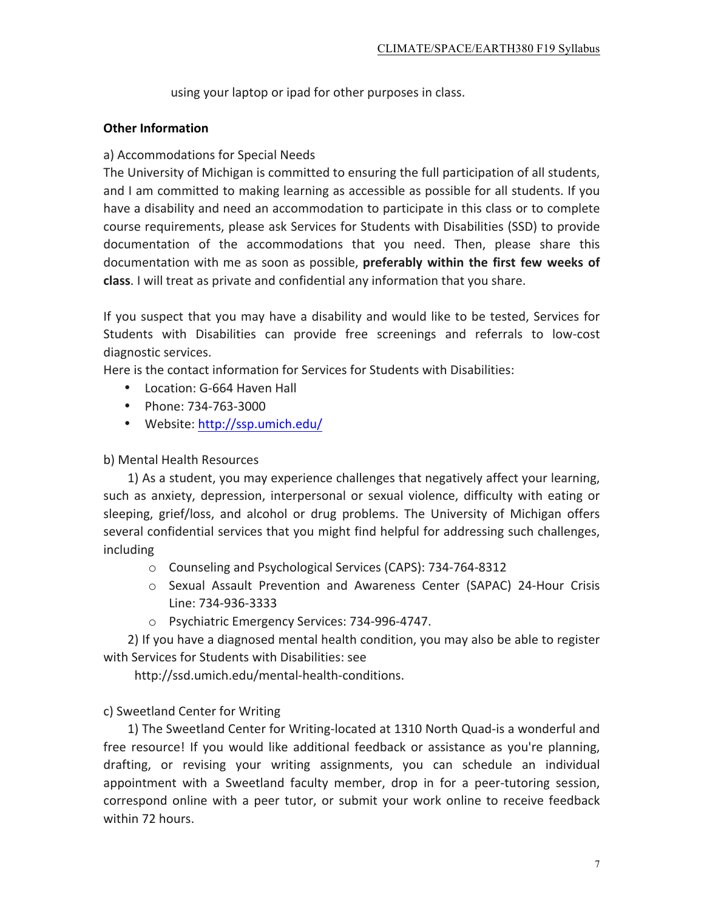using your laptop or ipad for other purposes in class.

### **Other Information**

### a) Accommodations for Special Needs

The University of Michigan is committed to ensuring the full participation of all students, and I am committed to making learning as accessible as possible for all students. If you have a disability and need an accommodation to participate in this class or to complete course requirements, please ask Services for Students with Disabilities (SSD) to provide documentation of the accommodations that you need. Then, please share this documentation with me as soon as possible, **preferably within the first few weeks of class**. I will treat as private and confidential any information that you share.

If you suspect that you may have a disability and would like to be tested, Services for Students with Disabilities can provide free screenings and referrals to low-cost diagnostic services.

Here is the contact information for Services for Students with Disabilities:

- Location: G-664 Haven Hall
- Phone: 734-763-3000
- Website: http://ssp.umich.edu/

### b) Mental Health Resources

1) As a student, you may experience challenges that negatively affect your learning, such as anxiety, depression, interpersonal or sexual violence, difficulty with eating or sleeping, grief/loss, and alcohol or drug problems. The University of Michigan offers several confidential services that you might find helpful for addressing such challenges, including

- o Counseling and Psychological Services (CAPS): 734-764-8312
- $\circ$  Sexual Assault Prevention and Awareness Center (SAPAC) 24-Hour Crisis Line: 734-936-3333
- o Psychiatric Emergency Services: 734-996-4747.

2) If you have a diagnosed mental health condition, you may also be able to register with Services for Students with Disabilities: see

 http://ssd.umich.edu/mental-health-conditions. 

## c) Sweetland Center for Writing

1) The Sweetland Center for Writing-located at 1310 North Quad-is a wonderful and free resource! If you would like additional feedback or assistance as you're planning, drafting, or revising your writing assignments, you can schedule an individual appointment with a Sweetland faculty member, drop in for a peer-tutoring session, correspond online with a peer tutor, or submit your work online to receive feedback within 72 hours.